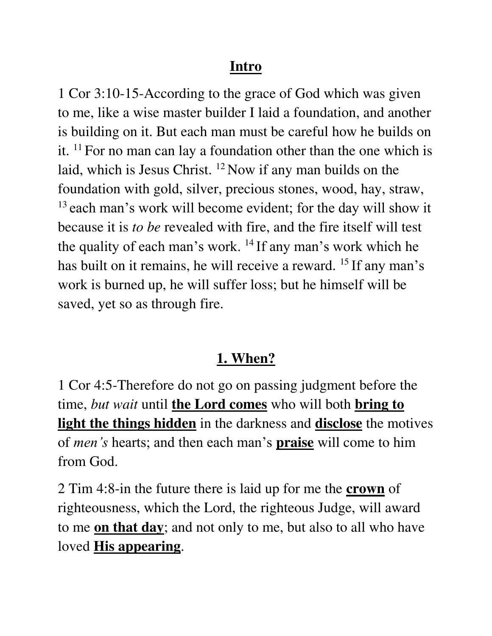#### **Intro**

1 Cor 3:10-15-According to the grace of God which was given to me, like a wise master builder I laid a foundation, and another is building on it. But each man must be careful how he builds on it.  $11$  For no man can lay a foundation other than the one which is laid, which is Jesus Christ. <sup>12</sup> Now if any man builds on the foundation with gold, silver, precious stones, wood, hay, straw, <sup>13</sup> each man's work will become evident; for the day will show it because it is *to be* revealed with fire, and the fire itself will test the quality of each man's work. <sup>14</sup> If any man's work which he has built on it remains, he will receive a reward. <sup>15</sup> If any man's work is burned up, he will suffer loss; but he himself will be saved, yet so as through fire.

### **1. When?**

1 Cor 4:5-Therefore do not go on passing judgment before the time, *but wait* until **the Lord comes** who will both **bring to light the things hidden** in the darkness and **disclose** the motives of *men's* hearts; and then each man's **praise** will come to him from God.

2 Tim 4:8-in the future there is laid up for me the **crown** of righteousness, which the Lord, the righteous Judge, will award to me **on that day**; and not only to me, but also to all who have loved **His appearing**.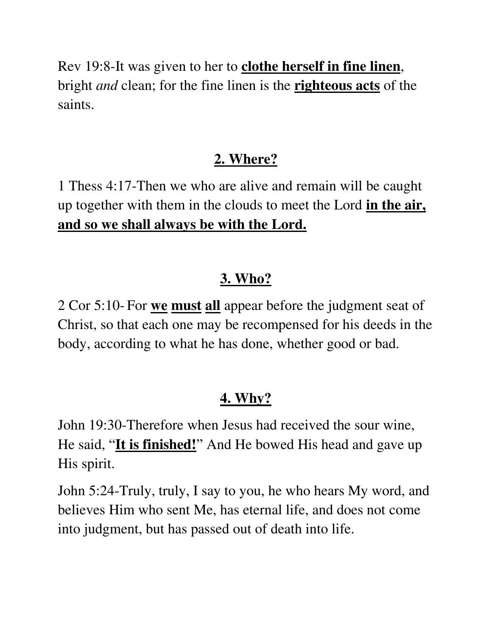Rev 19:8-It was given to her to **clothe herself in fine linen**, bright *and* clean; for the fine linen is the **righteous acts** of the saints.

# **2. Where?**

1 Thess 4:17-Then we who are alive and remain will be caught up together with them in the clouds to meet the Lord **in the air, and so we shall always be with the Lord.** 

### **3. Who?**

2 Cor 5:10- For **we must all** appear before the judgment seat of Christ, so that each one may be recompensed for his deeds in the body, according to what he has done, whether good or bad.

# **4. Why?**

John 19:30-Therefore when Jesus had received the sour wine, He said, "**It is finished!**" And He bowed His head and gave up His spirit.

John 5:24-Truly, truly, I say to you, he who hears My word, and believes Him who sent Me, has eternal life, and does not come into judgment, but has passed out of death into life.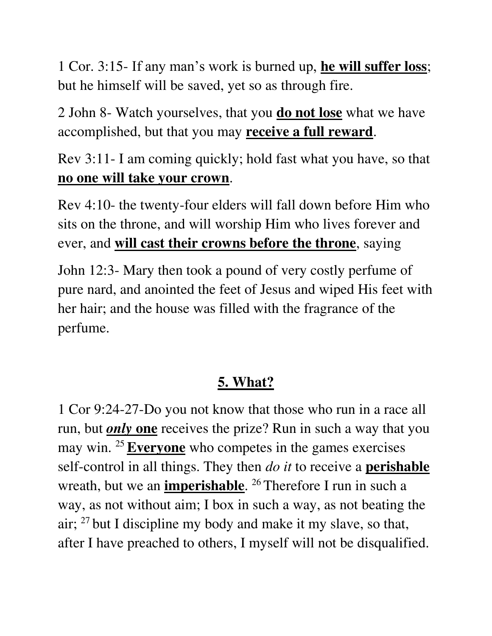1 Cor. 3:15- If any man's work is burned up, **he will suffer loss**; but he himself will be saved, yet so as through fire.

2 John 8- Watch yourselves, that you **do not lose** what we have accomplished, but that you may **receive a full reward**.

Rev 3:11- I am coming quickly; hold fast what you have, so that **no one will take your crown**.

Rev 4:10- the twenty-four elders will fall down before Him who sits on the throne, and will worship Him who lives forever and ever, and **will cast their crowns before the throne**, saying

John 12:3- Mary then took a pound of very costly perfume of pure nard, and anointed the feet of Jesus and wiped His feet with her hair; and the house was filled with the fragrance of the perfume.

# **5. What?**

1 Cor 9:24-27-Do you not know that those who run in a race all run, but *only* **one** receives the prize? Run in such a way that you may win. <sup>25</sup>**Everyone** who competes in the games exercises self-control in all things. They then *do it* to receive a **perishable** wreath, but we an **imperishable**. <sup>26</sup> Therefore I run in such a way, as not without aim; I box in such a way, as not beating the air;  $27$  but I discipline my body and make it my slave, so that, after I have preached to others, I myself will not be disqualified.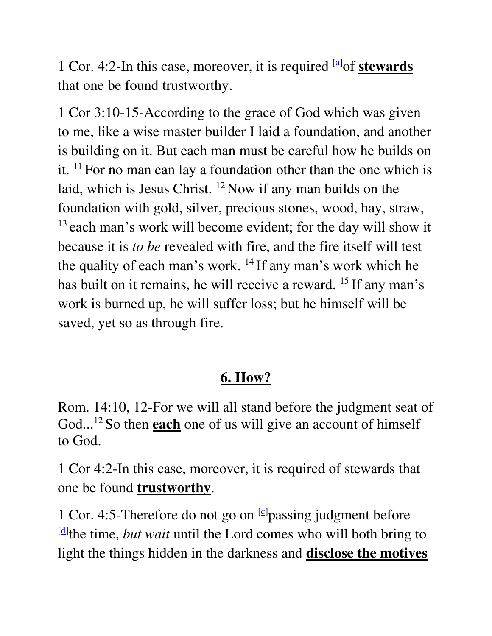1 Cor. 4:2-In this case, moreover, it is required <sup>[\[a\]](https://www.biblegateway.com/passage/?search=1+Corinthians+4%3B2&version=NASB#fen-NASB-28436a)</sup>of **stewards** that one be found trustworthy.

1 Cor 3:10-15-According to the grace of God which was given to me, like a wise master builder I laid a foundation, and another is building on it. But each man must be careful how he builds on it.  $11$  For no man can lay a foundation other than the one which is laid, which is Jesus Christ. <sup>12</sup> Now if any man builds on the foundation with gold, silver, precious stones, wood, hay, straw, <sup>13</sup> each man's work will become evident; for the day will show it because it is *to be* revealed with fire, and the fire itself will test the quality of each man's work. <sup>14</sup> If any man's work which he has built on it remains, he will receive a reward. <sup>15</sup> If any man's work is burned up, he will suffer loss; but he himself will be saved, yet so as through fire.

#### **6. How?**

Rom. 14:10, 12-For we will all stand before the judgment seat of God... <sup>12</sup> So then **each** one of us will give an account of himself to God.

1 Cor 4:2-In this case, moreover, it is required of stewards that one be found **trustworthy**.

1 Cor. 4:5-Therefore do not go on <sup>[\[c\]](https://www.biblegateway.com/passage/?search=1+Corinthians+4&version=NASB#fen-NASB-28439c)</sup>passing judgment before [\[d\]](https://www.biblegateway.com/passage/?search=1+Corinthians+4&version=NASB#fen-NASB-28439d) the time, *but wait* until the Lord comes who will both bring to light the things hidden in the darkness and **disclose the motives**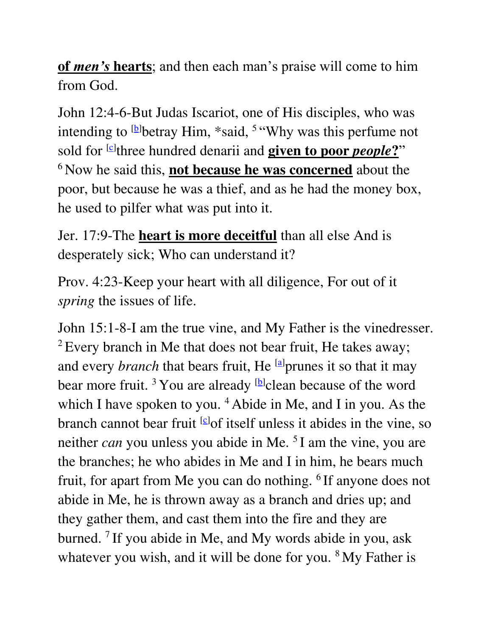**of** *men's* **hearts**; and then each man's praise will come to him from God.

John 12:4-6-But Judas Iscariot, one of His disciples, who was intending to  $[b]$  betray Him, \*said, <sup>5 "</sup>Why was this perfume not sold for <sup>[\[c\]](https://www.biblegateway.com/passage/?search=John+12&version=NASB#fen-NASB-26586c)</sup>three hundred denarii and **given to poor** *people***?**" <sup>6</sup> Now he said this, **not because he was concerned** about the poor, but because he was a thief, and as he had the money box, he used to pilfer what was put into it.

Jer. 17:9-The **heart is more deceitful** than all else And is desperately sick; Who can understand it?

Prov. 4:23-Keep your heart with all diligence, For out of it *spring* the issues of life.

John 15:1-8-I am the true vine, and My Father is the vinedresser. <sup>2</sup> Every branch in Me that does not bear fruit, He takes away; and every *branch* that bears fruit, He <sup>[\[a\]](https://www.biblegateway.com/passage/?search=John+15&version=NASB#fen-NASB-26702a)</sup>prunes it so that it may bear more fruit.<sup>3</sup> You are already <sup>[\[b\]](https://www.biblegateway.com/passage/?search=John+15&version=NASB#fen-NASB-26703b)</sup>clean because of the word which I have spoken to you.  $4$  Abide in Me, and I in you. As the branch cannot bear fruit [\[c\]](https://www.biblegateway.com/passage/?search=John+15&version=NASB#fen-NASB-26704c) of itself unless it abides in the vine, so neither *can* you unless you abide in Me. <sup>5</sup>I am the vine, you are the branches; he who abides in Me and I in him, he bears much fruit, for apart from Me you can do nothing. <sup>6</sup>If anyone does not abide in Me, he is thrown away as a branch and dries up; and they gather them, and cast them into the fire and they are burned. <sup>7</sup>If you abide in Me, and My words abide in you, ask whatever you wish, and it will be done for you. <sup>8</sup>My Father is